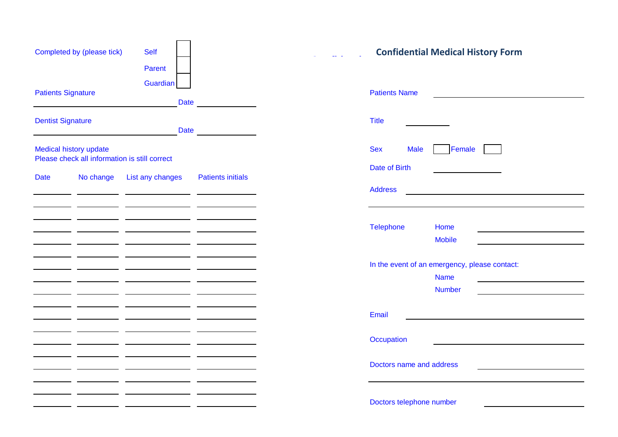| Completed by (please tick)                                              | <b>Self</b><br>Parent   | <b>Confidential Medical History Form</b> |                                                                               |  |  |  |  |
|-------------------------------------------------------------------------|-------------------------|------------------------------------------|-------------------------------------------------------------------------------|--|--|--|--|
| <b>Patients Signature</b>                                               | Guardian<br><b>Date</b> |                                          | <b>Patients Name</b>                                                          |  |  |  |  |
| <b>Dentist Signature</b>                                                | <b>Date</b>             |                                          | <b>Title</b>                                                                  |  |  |  |  |
| Medical history update<br>Please check all information is still correct |                         |                                          | <b>Sex</b><br><b>Male</b><br>Female<br>Date of Birth                          |  |  |  |  |
| No change<br><b>Date</b>                                                | List any changes        | <b>Patients initials</b>                 | <b>Address</b>                                                                |  |  |  |  |
|                                                                         |                         |                                          | Telephone<br>Home<br><b>Mobile</b>                                            |  |  |  |  |
|                                                                         |                         |                                          | In the event of an emergency, please contact:<br><b>Name</b><br><b>Number</b> |  |  |  |  |
|                                                                         |                         |                                          | Email                                                                         |  |  |  |  |
|                                                                         |                         |                                          | Occupation                                                                    |  |  |  |  |
|                                                                         |                         |                                          | Doctors name and address                                                      |  |  |  |  |
|                                                                         |                         |                                          | Doctors telephone number                                                      |  |  |  |  |